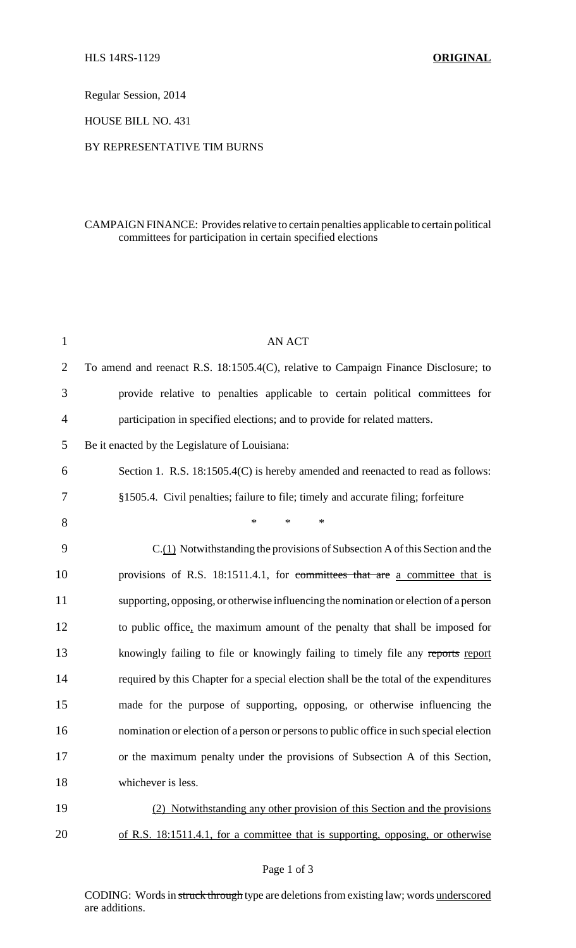Regular Session, 2014

HOUSE BILL NO. 431

## BY REPRESENTATIVE TIM BURNS

## CAMPAIGN FINANCE: Provides relative to certain penalties applicable to certain political committees for participation in certain specified elections

| $\mathbf{1}$   | <b>AN ACT</b>                                                                           |
|----------------|-----------------------------------------------------------------------------------------|
| $\overline{2}$ | To amend and reenact R.S. 18:1505.4(C), relative to Campaign Finance Disclosure; to     |
| 3              | provide relative to penalties applicable to certain political committees for            |
| 4              | participation in specified elections; and to provide for related matters.               |
| 5              | Be it enacted by the Legislature of Louisiana:                                          |
| 6              | Section 1. R.S. 18:1505.4(C) is hereby amended and reenacted to read as follows:        |
| 7              | §1505.4. Civil penalties; failure to file; timely and accurate filing; forfeiture       |
| 8              | $\ast$<br>$\ast$<br>$\ast$                                                              |
| 9              | C.(1) Notwithstanding the provisions of Subsection A of this Section and the            |
| 10             | provisions of R.S. 18:1511.4.1, for committees that are a committee that is             |
| 11             | supporting, opposing, or otherwise influencing the nomination or election of a person   |
| 12             | to public office, the maximum amount of the penalty that shall be imposed for           |
| 13             | knowingly failing to file or knowingly failing to timely file any reports report        |
| 14             | required by this Chapter for a special election shall be the total of the expenditures  |
| 15             | made for the purpose of supporting, opposing, or otherwise influencing the              |
| 16             | nomination or election of a person or persons to public office in such special election |
| 17             | or the maximum penalty under the provisions of Subsection A of this Section,            |
| 18             | whichever is less.                                                                      |
| 19             | (2) Notwithstanding any other provision of this Section and the provisions              |
| 20             | of R.S. 18:1511.4.1, for a committee that is supporting, opposing, or otherwise         |

CODING: Words in struck through type are deletions from existing law; words underscored are additions.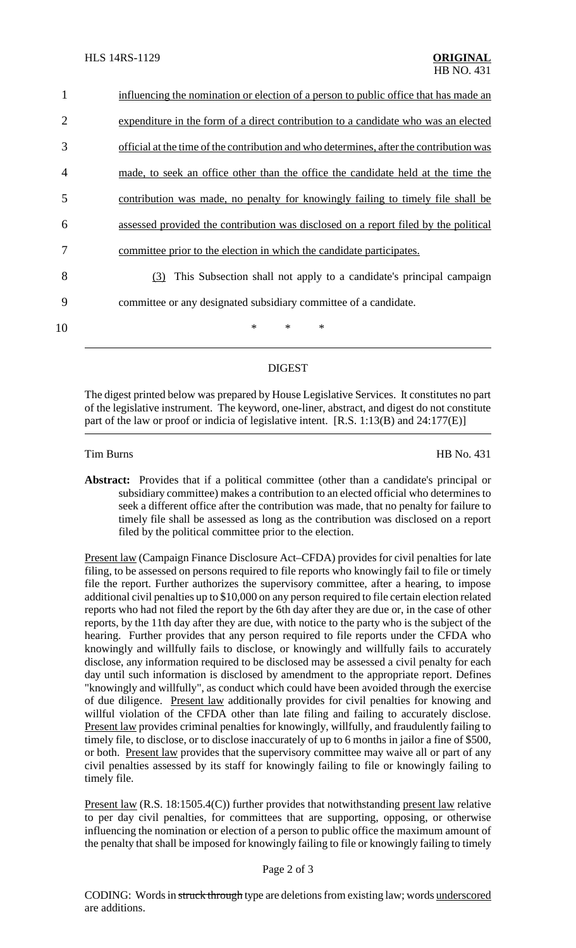| 1  | influencing the nomination or election of a person to public office that has made an    |
|----|-----------------------------------------------------------------------------------------|
| 2  | expenditure in the form of a direct contribution to a candidate who was an elected      |
| 3  | official at the time of the contribution and who determines, after the contribution was |
| 4  | made, to seek an office other than the office the candidate held at the time the        |
| 5  | contribution was made, no penalty for knowingly failing to timely file shall be         |
| 6  | assessed provided the contribution was disclosed on a report filed by the political     |
| 7  | committee prior to the election in which the candidate participates.                    |
| 8  | This Subsection shall not apply to a candidate's principal campaign<br>(3)              |
| 9  | committee or any designated subsidiary committee of a candidate.                        |
| 10 | $\ast$<br>$\ast$<br>$\ast$                                                              |

## DIGEST

The digest printed below was prepared by House Legislative Services. It constitutes no part of the legislative instrument. The keyword, one-liner, abstract, and digest do not constitute part of the law or proof or indicia of legislative intent. [R.S. 1:13(B) and 24:177(E)]

Tim Burns HB No. 431

**Abstract:** Provides that if a political committee (other than a candidate's principal or subsidiary committee) makes a contribution to an elected official who determines to seek a different office after the contribution was made, that no penalty for failure to timely file shall be assessed as long as the contribution was disclosed on a report filed by the political committee prior to the election.

Present law (Campaign Finance Disclosure Act–CFDA) provides for civil penalties for late filing, to be assessed on persons required to file reports who knowingly fail to file or timely file the report. Further authorizes the supervisory committee, after a hearing, to impose additional civil penalties up to \$10,000 on any person required to file certain election related reports who had not filed the report by the 6th day after they are due or, in the case of other reports, by the 11th day after they are due, with notice to the party who is the subject of the hearing. Further provides that any person required to file reports under the CFDA who knowingly and willfully fails to disclose, or knowingly and willfully fails to accurately disclose, any information required to be disclosed may be assessed a civil penalty for each day until such information is disclosed by amendment to the appropriate report. Defines "knowingly and willfully", as conduct which could have been avoided through the exercise of due diligence. Present law additionally provides for civil penalties for knowing and willful violation of the CFDA other than late filing and failing to accurately disclose. Present law provides criminal penalties for knowingly, willfully, and fraudulently failing to timely file, to disclose, or to disclose inaccurately of up to 6 months in jailor a fine of \$500, or both. Present law provides that the supervisory committee may waive all or part of any civil penalties assessed by its staff for knowingly failing to file or knowingly failing to timely file.

Present law (R.S. 18:1505.4(C)) further provides that notwithstanding present law relative to per day civil penalties, for committees that are supporting, opposing, or otherwise influencing the nomination or election of a person to public office the maximum amount of the penalty that shall be imposed for knowingly failing to file or knowingly failing to timely

## Page 2 of 3

CODING: Words in struck through type are deletions from existing law; words underscored are additions.